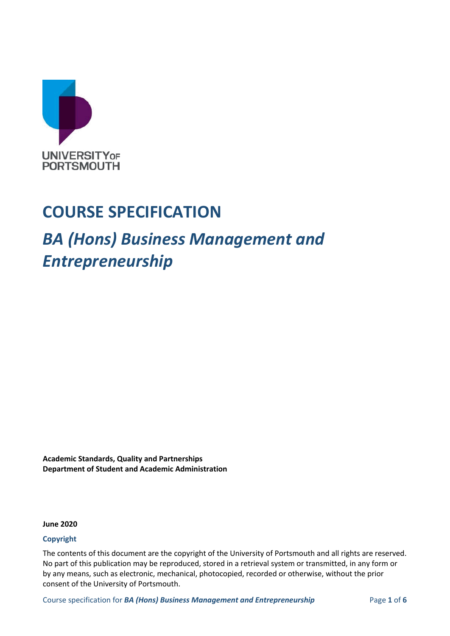

## **COURSE SPECIFICATION**

## *BA (Hons) Business Management and Entrepreneurship*

**Academic Standards, Quality and Partnerships Department of Student and Academic Administration**

**June 2020**

#### **Copyright**

The contents of this document are the copyright of the University of Portsmouth and all rights are reserved. No part of this publication may be reproduced, stored in a retrieval system or transmitted, in any form or by any means, such as electronic, mechanical, photocopied, recorded or otherwise, without the prior consent of the University of Portsmouth.

Course specification for **BA (Hons) Business Management and Entrepreneurship** Page 1 of 6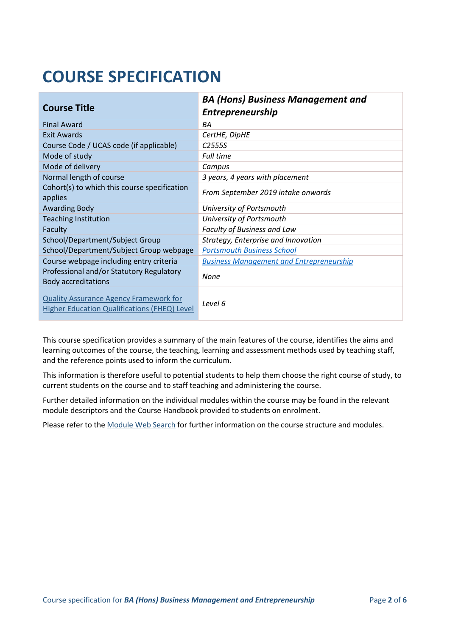# **COURSE SPECIFICATION**

| <b>Course Title</b>                                                                                  | <b>BA (Hons) Business Management and</b><br><b>Entrepreneurship</b> |
|------------------------------------------------------------------------------------------------------|---------------------------------------------------------------------|
| <b>Final Award</b>                                                                                   | BA                                                                  |
| Exit Awards                                                                                          | CertHE, DipHE                                                       |
| Course Code / UCAS code (if applicable)                                                              | C <sub>2555</sub>                                                   |
| Mode of study                                                                                        | <b>Full time</b>                                                    |
| Mode of delivery                                                                                     | Campus                                                              |
| Normal length of course                                                                              | 3 years, 4 years with placement                                     |
| Cohort(s) to which this course specification<br>applies                                              | From September 2019 intake onwards                                  |
| <b>Awarding Body</b>                                                                                 | University of Portsmouth                                            |
| <b>Teaching Institution</b>                                                                          | University of Portsmouth                                            |
| Faculty                                                                                              | Faculty of Business and Law                                         |
| School/Department/Subject Group                                                                      | Strategy, Enterprise and Innovation                                 |
| School/Department/Subject Group webpage                                                              | <b>Portsmouth Business School</b>                                   |
| Course webpage including entry criteria                                                              | <b>Business Management and Entrepreneurship</b>                     |
| Professional and/or Statutory Regulatory<br><b>Body accreditations</b>                               | None                                                                |
| <b>Quality Assurance Agency Framework for</b><br><b>Higher Education Qualifications (FHEQ) Level</b> | Level 6                                                             |

This course specification provides a summary of the main features of the course, identifies the aims and learning outcomes of the course, the teaching, learning and assessment methods used by teaching staff, and the reference points used to inform the curriculum.

This information is therefore useful to potential students to help them choose the right course of study, to current students on the course and to staff teaching and administering the course.

Further detailed information on the individual modules within the course may be found in the relevant module descriptors and the Course Handbook provided to students on enrolment.

Please refer to the [Module Web Search](https://register.port.ac.uk/ords/f?p=111:1:0:::::) for further information on the course structure and modules.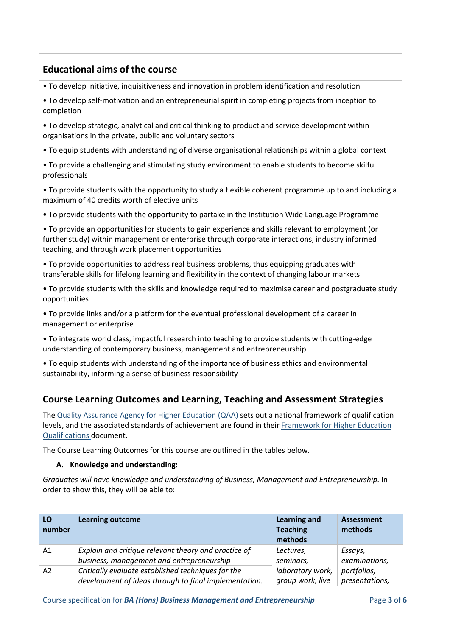## **Educational aims of the course**

- To develop initiative, inquisitiveness and innovation in problem identification and resolution
- To develop self-motivation and an entrepreneurial spirit in completing projects from inception to completion
- To develop strategic, analytical and critical thinking to product and service development within organisations in the private, public and voluntary sectors
- To equip students with understanding of diverse organisational relationships within a global context
- To provide a challenging and stimulating study environment to enable students to become skilful professionals
- To provide students with the opportunity to study a flexible coherent programme up to and including a maximum of 40 credits worth of elective units
- To provide students with the opportunity to partake in the Institution Wide Language Programme
- To provide an opportunities for students to gain experience and skills relevant to employment (or further study) within management or enterprise through corporate interactions, industry informed teaching, and through work placement opportunities
- To provide opportunities to address real business problems, thus equipping graduates with transferable skills for lifelong learning and flexibility in the context of changing labour markets
- To provide students with the skills and knowledge required to maximise career and postgraduate study opportunities
- To provide links and/or a platform for the eventual professional development of a career in management or enterprise
- To integrate world class, impactful research into teaching to provide students with cutting-edge understanding of contemporary business, management and entrepreneurship
- To equip students with understanding of the importance of business ethics and environmental sustainability, informing a sense of business responsibility

## **Course Learning Outcomes and Learning, Teaching and Assessment Strategies**

The [Quality Assurance Agency for Higher Education \(QAA\)](http://www.qaa.ac.uk/en) sets out a national framework of qualification levels, and the associated standards of achievement are found in their [Framework for Higher Education](https://www.qaa.ac.uk/docs/qaa/quality-code/qualifications-frameworks.pdf?sfvrsn=170af781_16)  [Qualifications](https://www.qaa.ac.uk/docs/qaa/quality-code/qualifications-frameworks.pdf?sfvrsn=170af781_16) document.

The Course Learning Outcomes for this course are outlined in the tables below.

#### **A. Knowledge and understanding:**

*Graduates will have knowledge and understanding of Business, Management and Entrepreneurship*. In order to show this, they will be able to:

| LO<br>number | <b>Learning outcome</b>                               | <b>Learning and</b><br><b>Teaching</b><br>methods | <b>Assessment</b><br>methods |
|--------------|-------------------------------------------------------|---------------------------------------------------|------------------------------|
| A1           | Explain and critique relevant theory and practice of  | Lectures,                                         | Essays,                      |
|              | business, management and entrepreneurship             | seminars,                                         | examinations,                |
| A2           | Critically evaluate established techniques for the    | laboratory work,                                  | portfolios,                  |
|              | development of ideas through to final implementation. | group work, live                                  | presentations,               |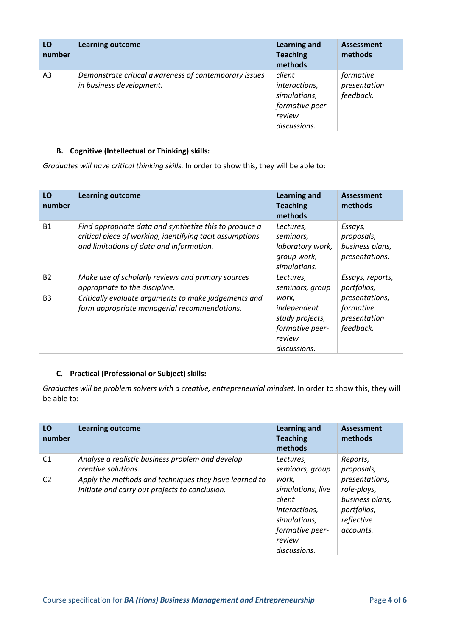| LO<br>number   | <b>Learning outcome</b>                                                           | <b>Learning and</b><br><b>Teaching</b><br>methods                                    | Assessment<br>methods                  |
|----------------|-----------------------------------------------------------------------------------|--------------------------------------------------------------------------------------|----------------------------------------|
| A <sub>3</sub> | Demonstrate critical awareness of contemporary issues<br>in business development. | client<br>interactions,<br>simulations,<br>formative peer-<br>review<br>discussions. | formative<br>presentation<br>feedback. |

#### **B. Cognitive (Intellectual or Thinking) skills:**

*Graduates will have critical thinking skills.* In order to show this, they will be able to:

| LO<br>number | <b>Learning outcome</b>                                                                                                                                        | <b>Learning and</b><br><b>Teaching</b><br>methods                                    | <b>Assessment</b><br>methods                               |
|--------------|----------------------------------------------------------------------------------------------------------------------------------------------------------------|--------------------------------------------------------------------------------------|------------------------------------------------------------|
| <b>B1</b>    | Find appropriate data and synthetize this to produce a<br>critical piece of working, identifying tacit assumptions<br>and limitations of data and information. | Lectures,<br>seminars,<br>laboratory work,<br>group work,<br>simulations.            | Essays,<br>proposals,<br>business plans,<br>presentations. |
| <b>B2</b>    | Make use of scholarly reviews and primary sources<br>appropriate to the discipline.                                                                            | Lectures,<br>seminars, group                                                         | Essays, reports,<br>portfolios,                            |
| <b>B3</b>    | Critically evaluate arguments to make judgements and<br>form appropriate managerial recommendations.                                                           | work,<br>independent<br>study projects,<br>formative peer-<br>review<br>discussions. | presentations,<br>formative<br>presentation<br>feedback.   |

#### **C. Practical (Professional or Subject) skills:**

*Graduates will be problem solvers with a creative, entrepreneurial mindset.* In order to show this, they will be able to:

| LO<br>number   | <b>Learning outcome</b>                                                                                 | <b>Learning and</b><br><b>Teaching</b><br>methods                                                                  | Assessment<br>methods                                                                      |
|----------------|---------------------------------------------------------------------------------------------------------|--------------------------------------------------------------------------------------------------------------------|--------------------------------------------------------------------------------------------|
| C <sub>1</sub> | Analyse a realistic business problem and develop<br>creative solutions.                                 | Lectures,<br>seminars, group                                                                                       | Reports,<br>proposals,                                                                     |
| C <sub>2</sub> | Apply the methods and techniques they have learned to<br>initiate and carry out projects to conclusion. | work.<br>simulations, live<br>client<br>interactions,<br>simulations,<br>formative peer-<br>review<br>discussions. | presentations,<br>role-plays,<br>business plans,<br>portfolios,<br>reflective<br>accounts. |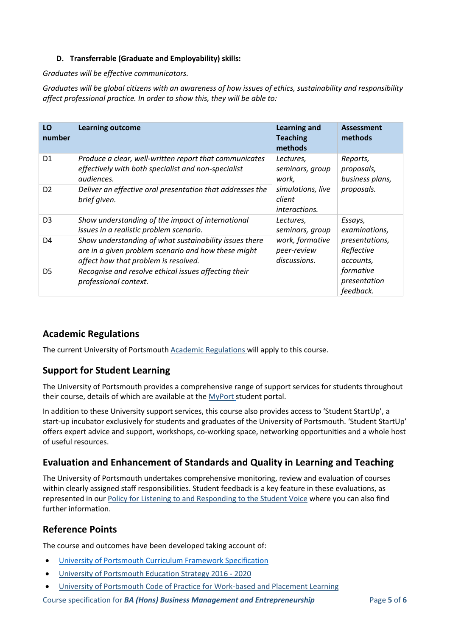#### **D. Transferrable (Graduate and Employability) skills:**

*Graduates will be effective communicators.*

*Graduates will be global citizens with an awareness of how issues of ethics, sustainability and responsibility affect professional practice. In order to show this, they will be able to:*

| LO<br>number   | <b>Learning outcome</b>                                                       | <b>Learning and</b><br><b>Teaching</b><br>methods | <b>Assessment</b><br>methods           |
|----------------|-------------------------------------------------------------------------------|---------------------------------------------------|----------------------------------------|
| D <sub>1</sub> | Produce a clear, well-written report that communicates                        | Lectures,                                         | Reports,                               |
|                | effectively with both specialist and non-specialist                           | seminars, group                                   | proposals,                             |
|                | <i>audiences.</i>                                                             | work,                                             | business plans,                        |
| D <sub>2</sub> | Deliver an effective oral presentation that addresses the<br>brief given.     | simulations, live<br>client<br>interactions.      | proposals.                             |
| D <sub>3</sub> | Show understanding of the impact of international                             | Lectures,                                         | Essays,                                |
|                | issues in a realistic problem scenario.                                       | seminars, group                                   | examinations,                          |
| D4             | Show understanding of what sustainability issues there                        | work, formative                                   | presentations,                         |
|                | are in a given problem scenario and how these might                           | peer-review                                       | Reflective                             |
|                | affect how that problem is resolved.                                          | discussions.                                      | accounts,                              |
| D <sub>5</sub> | Recognise and resolve ethical issues affecting their<br>professional context. |                                                   | formative<br>presentation<br>feedback. |

## **Academic Regulations**

The current University of Portsmouth [Academic Regulations](http://policies.docstore.port.ac.uk/policy-107.pdf?_ga=2.115099791.988573471.1600698712-86764541.1593710288) will apply to this course.

## **Support for Student Learning**

The University of Portsmouth provides a comprehensive range of support services for students throughout their course, details of which are available at the [MyPort](http://myport.ac.uk/) student portal.

In addition to these University support services, this course also provides access to 'Student StartUp', a start-up incubator exclusively for students and graduates of the University of Portsmouth. 'Student StartUp' offers expert advice and support, workshops, co-working space, networking opportunities and a whole host of useful resources.

## **Evaluation and Enhancement of Standards and Quality in Learning and Teaching**

The University of Portsmouth undertakes comprehensive monitoring, review and evaluation of courses within clearly assigned staff responsibilities. Student feedback is a key feature in these evaluations, as represented in our [Policy for Listening to and Responding to the Student Voice](http://policies.docstore.port.ac.uk/policy-069.pdf) where you can also find further information.

## **Reference Points**

The course and outcomes have been developed taking account of:

- [University of Portsmouth Curriculum Framework Specification](http://policies.docstore.port.ac.uk/policy-217.pdf?_ga=2.43166765.988573471.1600698712-86764541.1593710288)
- [University of Portsmouth Education Strategy 2016 -](http://policies.docstore.port.ac.uk/policy-187.pdf) 2020
- University of Portsmouth Code of [Practice for Work-based and Placement Learning](http://policies.docstore.port.ac.uk/policy-151.pdf)

Course specification for *BA (Hons) Business Management and Entrepreneurship* Page 5 of 6